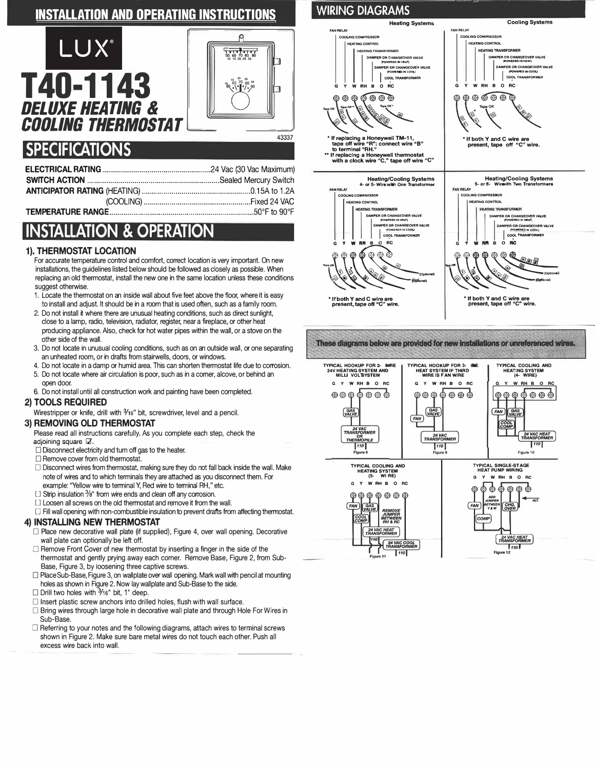### **INSTALLATION AND OPERATING INSTRUCTIONS**

# LUX T40-11 *DELUXE HEATING* & *COOLING THERMOSTAT===----- �-=*



## **SPECIFICATIONS**

# **INSTALLATION & OPERATION**

#### **1). THERMOSTAT LOCATION**

For accurate temperature control and comfort, correct location is very important. On new installations, the guidelines listed below should be followed as closely as possible. When replacing an old thermostat, install the new one in the same location unless these conditions suggest otherwise.

- 1. Locate the thermostat on an inside wall about five feet above the floor, where it is easy to install and adjust. It should be in a room that is used often, such as a family room.
- 2. Do not install it where there are unusual heating conditions, such as direct sunlight, close to a lamp, radio, television, radiator, register, near a fireplace, or other heat producing appliance. Also, check for hot water pipes within the wall, or a stove on the other side of the wall.
- 3. Do not locate in unusual cooling conditions, such as on an outside wall, or one separating an unheated room, or in drafts from stairwells, doors, or windows.
- 4. Do not locate in a damp or humid area. This can shorten thermostat life due to corrosion. 5. Do not locate where air circulation is poor, such as in a corner, alcove, or behind an open door.
- 6. Do not install until all construction work and painting have been completed.

#### **2) TOOLS REQUIRED**

Wirestripper or knife, drill with 3/16" bit, screwdriver, level and a pencil.

#### **3) REMOVING OLD THERMOSTAT**

Please read all instructions carefully. As you complete each step, check the adjoining square  $\mathbb Z$ .

- $\Box$  Disconnect electricity and tum off gas to the heater.
- D Remove cover from old thermostat.
- $\Box$  Disconnect wires from thermostat, making sure they do not fall back inside the wall. Make note of wires and to which terminals they are attached as you disconnect them. For example: "Yellow wire to terminal Y, Red wire to terminal RH," etc.
- $\Box$  Strip insulation  $\frac{3}{8}$ " from wire ends and clean off any corrosion.
- D Loosen all screws on the old thermostat and remove it from the wall.
- D Fill wall opening with non-combustible insulation to prevent drafts from affecting thermostat.

#### **4) INSTALLING NEW THERMOSTAT**

- $\Box$  Place new decorative wall plate (if supplied), Figure 4, over wall opening. Decorative wall plate can optionally be left off.
- $\square$  Remove Front Cover of new thermostat by inserting a finger in the side of the thermostat and gently prying away each corner. Remove Base, Figure 2, from Sub-Base, Figure 3, by loosening three captive screws.
- D Place Sub-Base, Figure 3, on wallplate over wall opening. Mark wall with pencil at mounting holes as shown in Figure 2. Now lay wallplate and Sub-Base to the side.
- D Drill two holes with **3 /15'** bit, 1' deep.
- $\Box$  Insert plastic screw anchors into drilled holes, flush with wall surface.
- $\Box$  Bring wires through large hole in decorative wall plate and through Hole For Wires in Sub-Base.
- $\Box$  Referring to your notes and the following diagrams, attach wires to terminal screws shown in Figure 2. Make sure bare metal wires do not touch each other. Push all excess wire back into wall.



These diagrams below are provided for new installations or unreferenced wires.